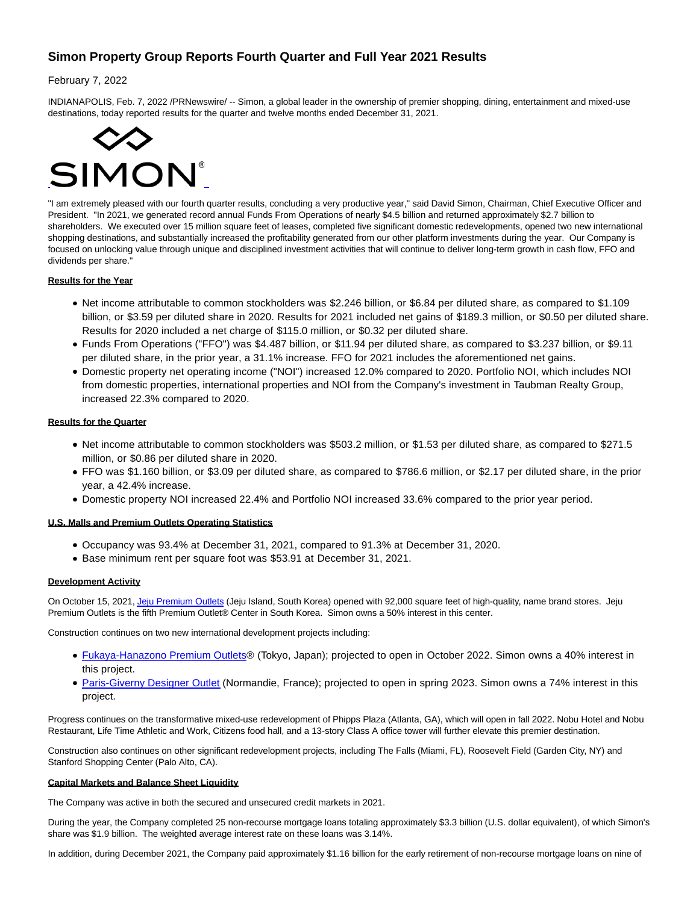# **Simon Property Group Reports Fourth Quarter and Full Year 2021 Results**

# February 7, 2022

INDIANAPOLIS, Feb. 7, 2022 /PRNewswire/ -- Simon, a global leader in the ownership of premier shopping, dining, entertainment and mixed-use destinations, today reported results for the quarter and twelve months ended December 31, 2021.



"I am extremely pleased with our fourth quarter results, concluding a very productive year," said David Simon, Chairman, Chief Executive Officer and President. "In 2021, we generated record annual Funds From Operations of nearly \$4.5 billion and returned approximately \$2.7 billion to shareholders. We executed over 15 million square feet of leases, completed five significant domestic redevelopments, opened two new international shopping destinations, and substantially increased the profitability generated from our other platform investments during the year. Our Company is focused on unlocking value through unique and disciplined investment activities that will continue to deliver long-term growth in cash flow, FFO and dividends per share."

# **Results for the Year**

- Net income attributable to common stockholders was \$2.246 billion, or \$6.84 per diluted share, as compared to \$1.109 billion, or \$3.59 per diluted share in 2020. Results for 2021 included net gains of \$189.3 million, or \$0.50 per diluted share. Results for 2020 included a net charge of \$115.0 million, or \$0.32 per diluted share.
- Funds From Operations ("FFO") was \$4.487 billion, or \$11.94 per diluted share, as compared to \$3.237 billion, or \$9.11 per diluted share, in the prior year, a 31.1% increase. FFO for 2021 includes the aforementioned net gains.
- Domestic property net operating income ("NOI") increased 12.0% compared to 2020. Portfolio NOI, which includes NOI from domestic properties, international properties and NOI from the Company's investment in Taubman Realty Group, increased 22.3% compared to 2020.

# **Results for the Quarter**

- Net income attributable to common stockholders was \$503.2 million, or \$1.53 per diluted share, as compared to \$271.5 million, or \$0.86 per diluted share in 2020.
- FFO was \$1.160 billion, or \$3.09 per diluted share, as compared to \$786.6 million, or \$2.17 per diluted share, in the prior year, a 42.4% increase.
- Domestic property NOI increased 22.4% and Portfolio NOI increased 33.6% compared to the prior year period.

# **U.S. Malls and Premium Outlets Operating Statistics**

- Occupancy was 93.4% at December 31, 2021, compared to 91.3% at December 31, 2020.
- Base minimum rent per square foot was \$53.91 at December 31, 2021.

# **Development Activity**

On October 15, 2021[, Jeju Premium Outlets \(](https://c212.net/c/link/?t=0&l=en&o=3435649-1&h=2097727944&u=https%3A%2F%2Fwww.premiumoutlets.co.kr%2Fjeju%2F&a=Jeju+Premium+Outlets)Jeju Island, South Korea) opened with 92,000 square feet of high-quality, name brand stores. Jeju Premium Outlets is the fifth Premium Outlet® Center in South Korea. Simon owns a 50% interest in this center.

Construction continues on two new international development projects including:

- [Fukaya-Hanazono Premium Outlets®](https://c212.net/c/link/?t=0&l=en&o=3435649-1&h=99458795&u=https%3A%2F%2Fwww.premiumoutlets.co.jp%2Fpressroom%2Fpdf%2Fen%2F20210727.pdf&a=Fukaya-Hanazono+Premium+Outlets) (Tokyo, Japan); projected to open in October 2022. Simon owns a 40% interest in this project.
- [Paris-Giverny Designer Outlet \(](https://c212.net/c/link/?t=0&l=en&o=3435649-1&h=3090575149&u=https%3A%2F%2Fwww.mcarthurglen.com%2Fen%2Foutlets%2Ffr%2Fdesigner-outlet-paris-giverny%2F&a=Paris-Giverny+Designer+Outlet)Normandie, France); projected to open in spring 2023. Simon owns a 74% interest in this project.

Progress continues on the transformative mixed-use redevelopment of Phipps Plaza (Atlanta, GA), which will open in fall 2022. Nobu Hotel and Nobu Restaurant, Life Time Athletic and Work, Citizens food hall, and a 13-story Class A office tower will further elevate this premier destination.

Construction also continues on other significant redevelopment projects, including The Falls (Miami, FL), Roosevelt Field (Garden City, NY) and Stanford Shopping Center (Palo Alto, CA).

# **Capital Markets and Balance Sheet Liquidity**

The Company was active in both the secured and unsecured credit markets in 2021.

During the year, the Company completed 25 non-recourse mortgage loans totaling approximately \$3.3 billion (U.S. dollar equivalent), of which Simon's share was \$1.9 billion. The weighted average interest rate on these loans was 3.14%.

In addition, during December 2021, the Company paid approximately \$1.16 billion for the early retirement of non-recourse mortgage loans on nine of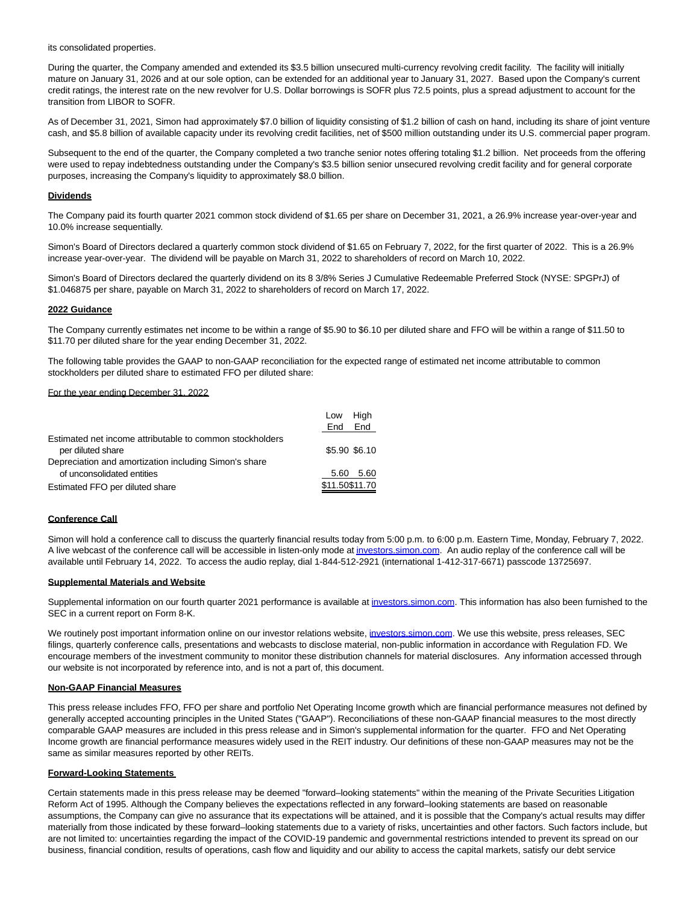its consolidated properties.

During the quarter, the Company amended and extended its \$3.5 billion unsecured multi-currency revolving credit facility. The facility will initially mature on January 31, 2026 and at our sole option, can be extended for an additional year to January 31, 2027. Based upon the Company's current credit ratings, the interest rate on the new revolver for U.S. Dollar borrowings is SOFR plus 72.5 points, plus a spread adjustment to account for the transition from LIBOR to SOFR.

As of December 31, 2021, Simon had approximately \$7.0 billion of liquidity consisting of \$1.2 billion of cash on hand, including its share of joint venture cash, and \$5.8 billion of available capacity under its revolving credit facilities, net of \$500 million outstanding under its U.S. commercial paper program.

Subsequent to the end of the quarter, the Company completed a two tranche senior notes offering totaling \$1.2 billion. Net proceeds from the offering were used to repay indebtedness outstanding under the Company's \$3.5 billion senior unsecured revolving credit facility and for general corporate purposes, increasing the Company's liquidity to approximately \$8.0 billion.

# **Dividends**

The Company paid its fourth quarter 2021 common stock dividend of \$1.65 per share on December 31, 2021, a 26.9% increase year-over-year and 10.0% increase sequentially.

Simon's Board of Directors declared a quarterly common stock dividend of \$1.65 on February 7, 2022, for the first quarter of 2022. This is a 26.9% increase year-over-year. The dividend will be payable on March 31, 2022 to shareholders of record on March 10, 2022.

Simon's Board of Directors declared the quarterly dividend on its 8 3/8% Series J Cumulative Redeemable Preferred Stock (NYSE: SPGPrJ) of \$1.046875 per share, payable on March 31, 2022 to shareholders of record on March 17, 2022.

### **2022 Guidance**

The Company currently estimates net income to be within a range of \$5.90 to \$6.10 per diluted share and FFO will be within a range of \$11.50 to \$11.70 per diluted share for the year ending December 31, 2022.

The following table provides the GAAP to non-GAAP reconciliation for the expected range of estimated net income attributable to common stockholders per diluted share to estimated FFO per diluted share:

# For the year ending December 31, 2022

|                                                          | Low<br>End     | High<br>End |
|----------------------------------------------------------|----------------|-------------|
| Estimated net income attributable to common stockholders |                |             |
| per diluted share                                        | \$5.90 \$6.10  |             |
| Depreciation and amortization including Simon's share    |                |             |
| of unconsolidated entities                               | 5.60           | -5.60       |
| Estimated FFO per diluted share                          | \$11.50\$11.70 |             |

### **Conference Call**

Simon will hold a conference call to discuss the quarterly financial results today from 5:00 p.m. to 6:00 p.m. Eastern Time, Monday, February 7, 2022. A live webcast of the conference call will be accessible in listen-only mode a[t investors.simon.com.](http://investors.simon.com/) An audio replay of the conference call will be available until February 14, 2022. To access the audio replay, dial 1-844-512-2921 (international 1-412-317-6671) passcode 13725697.

### **Supplemental Materials and Website**

Supplemental information on our fourth quarter 2021 performance is available at [investors.simon.com.](https://c212.net/c/link/?t=0&l=en&o=3435649-1&h=1766543180&u=http%3A%2F%2Finvestors.simon.com%2F&a=investors.simon.com) This information has also been furnished to the SEC in a current report on Form 8-K.

We routinely post important information online on our investor relations website, [investors.simon.com.](https://c212.net/c/link/?t=0&l=en&o=3435649-1&h=1766543180&u=http%3A%2F%2Finvestors.simon.com%2F&a=investors.simon.com) We use this website, press releases, SEC filings, quarterly conference calls, presentations and webcasts to disclose material, non-public information in accordance with Regulation FD. We encourage members of the investment community to monitor these distribution channels for material disclosures. Any information accessed through our website is not incorporated by reference into, and is not a part of, this document.

#### **Non-GAAP Financial Measures**

This press release includes FFO, FFO per share and portfolio Net Operating Income growth which are financial performance measures not defined by generally accepted accounting principles in the United States ("GAAP"). Reconciliations of these non-GAAP financial measures to the most directly comparable GAAP measures are included in this press release and in Simon's supplemental information for the quarter. FFO and Net Operating Income growth are financial performance measures widely used in the REIT industry. Our definitions of these non-GAAP measures may not be the same as similar measures reported by other REITs.

#### **Forward-Looking Statements**

Certain statements made in this press release may be deemed "forward–looking statements" within the meaning of the Private Securities Litigation Reform Act of 1995. Although the Company believes the expectations reflected in any forward–looking statements are based on reasonable assumptions, the Company can give no assurance that its expectations will be attained, and it is possible that the Company's actual results may differ materially from those indicated by these forward–looking statements due to a variety of risks, uncertainties and other factors. Such factors include, but are not limited to: uncertainties regarding the impact of the COVID-19 pandemic and governmental restrictions intended to prevent its spread on our business, financial condition, results of operations, cash flow and liquidity and our ability to access the capital markets, satisfy our debt service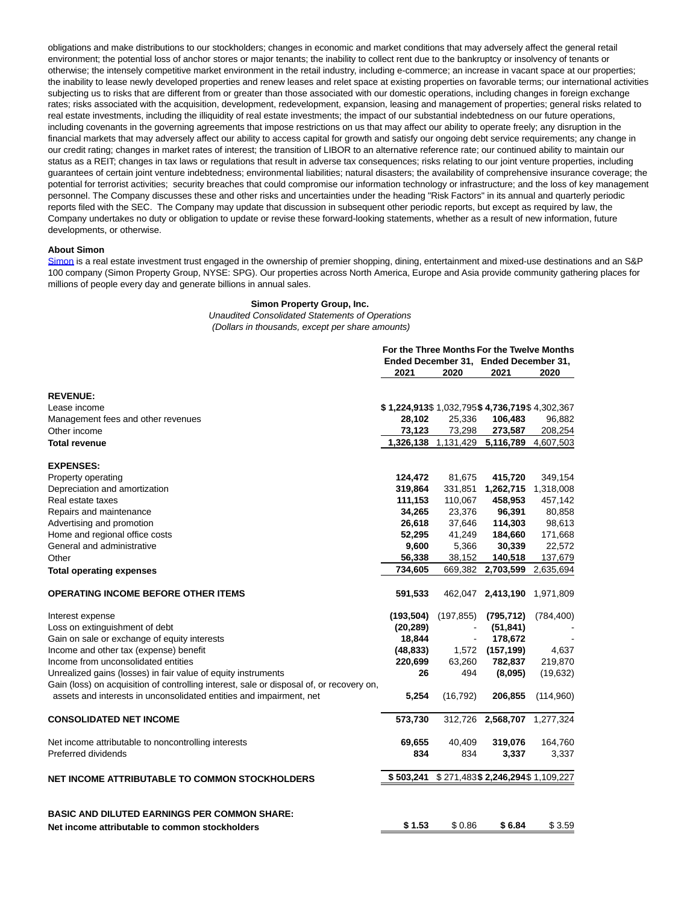obligations and make distributions to our stockholders; changes in economic and market conditions that may adversely affect the general retail environment; the potential loss of anchor stores or major tenants; the inability to collect rent due to the bankruptcy or insolvency of tenants or otherwise; the intensely competitive market environment in the retail industry, including e-commerce; an increase in vacant space at our properties; the inability to lease newly developed properties and renew leases and relet space at existing properties on favorable terms; our international activities subjecting us to risks that are different from or greater than those associated with our domestic operations, including changes in foreign exchange rates; risks associated with the acquisition, development, redevelopment, expansion, leasing and management of properties; general risks related to real estate investments, including the illiquidity of real estate investments; the impact of our substantial indebtedness on our future operations, including covenants in the governing agreements that impose restrictions on us that may affect our ability to operate freely; any disruption in the financial markets that may adversely affect our ability to access capital for growth and satisfy our ongoing debt service requirements; any change in our credit rating; changes in market rates of interest; the transition of LIBOR to an alternative reference rate; our continued ability to maintain our status as a REIT; changes in tax laws or regulations that result in adverse tax consequences; risks relating to our joint venture properties, including guarantees of certain joint venture indebtedness; environmental liabilities; natural disasters; the availability of comprehensive insurance coverage; the potential for terrorist activities; security breaches that could compromise our information technology or infrastructure; and the loss of key management personnel. The Company discusses these and other risks and uncertainties under the heading "Risk Factors" in its annual and quarterly periodic reports filed with the SEC. The Company may update that discussion in subsequent other periodic reports, but except as required by law, the Company undertakes no duty or obligation to update or revise these forward-looking statements, whether as a result of new information, future developments, or otherwise.

### **About Simon**

[Simon i](https://c212.net/c/link/?t=0&l=en&o=3435649-1&h=680894569&u=https%3A%2F%2Fwww.simon.com%2F&a=Simon)s a real estate investment trust engaged in the ownership of premier shopping, dining, entertainment and mixed-use destinations and an S&P 100 company (Simon Property Group, NYSE: SPG). Our properties across North America, Europe and Asia provide community gathering places for millions of people every day and generate billions in annual sales.

**For the Three Months For the Twelve Months**

#### **Simon Property Group, Inc.**

Unaudited Consolidated Statements of Operations (Dollars in thousands, except per share amounts)

|                                                                                          |                                              |            | שמו טיש שוש שוויט וס ויינוס ויינוס של היה ש<br>Ended December 31, Ended December 31, |            |
|------------------------------------------------------------------------------------------|----------------------------------------------|------------|--------------------------------------------------------------------------------------|------------|
|                                                                                          | 2021                                         | 2020       | 2021                                                                                 | 2020       |
| <b>REVENUE:</b>                                                                          |                                              |            |                                                                                      |            |
| Lease income                                                                             | \$1,224,913\$1,032,795\$4,736,719\$4,302,367 |            |                                                                                      |            |
| Management fees and other revenues                                                       | 28,102                                       | 25,336     | 106,483                                                                              | 96,882     |
| Other income                                                                             | 73,123                                       | 73,298     | 273,587                                                                              | 208,254    |
| Total revenue                                                                            |                                              |            | 1,326,138 1,131,429 5,116,789                                                        | 4,607,503  |
| <b>EXPENSES:</b>                                                                         |                                              |            |                                                                                      |            |
| Property operating                                                                       | 124,472                                      | 81,675     | 415,720                                                                              | 349,154    |
| Depreciation and amortization                                                            | 319,864                                      | 331,851    | 1,262,715                                                                            | 1,318,008  |
| Real estate taxes                                                                        | 111,153                                      | 110,067    | 458,953                                                                              | 457,142    |
| Repairs and maintenance                                                                  | 34.265                                       | 23,376     | 96,391                                                                               | 80,858     |
| Advertising and promotion                                                                | 26,618                                       | 37,646     | 114,303                                                                              | 98,613     |
| Home and regional office costs                                                           | 52,295                                       | 41,249     | 184,660                                                                              | 171,668    |
| General and administrative                                                               | 9,600                                        | 5,366      | 30,339                                                                               | 22,572     |
| Other                                                                                    | 56,338                                       | 38,152     | 140,518                                                                              | 137,679    |
| <b>Total operating expenses</b>                                                          | 734,605                                      | 669,382    | 2,703,599                                                                            | 2,635,694  |
| <b>OPERATING INCOME BEFORE OTHER ITEMS</b>                                               | 591,533                                      |            | 462,047 2,413,190                                                                    | 1,971,809  |
| Interest expense                                                                         | (193, 504)                                   | (197, 855) | (795, 712)                                                                           | (784, 400) |
| Loss on extinguishment of debt                                                           | (20, 289)                                    |            | (51, 841)                                                                            |            |
| Gain on sale or exchange of equity interests                                             | 18,844                                       |            | 178,672                                                                              |            |
| Income and other tax (expense) benefit                                                   | (48, 833)                                    |            | 1,572 (157,199)                                                                      | 4,637      |
| Income from unconsolidated entities                                                      | 220,699                                      | 63,260     | 782,837                                                                              | 219,870    |
| Unrealized gains (losses) in fair value of equity instruments                            | 26                                           | 494        | (8,095)                                                                              | (19, 632)  |
| Gain (loss) on acquisition of controlling interest, sale or disposal of, or recovery on, |                                              |            |                                                                                      |            |
| assets and interests in unconsolidated entities and impairment, net                      | 5,254                                        | (16, 792)  | 206,855                                                                              | (114,960)  |
| <b>CONSOLIDATED NET INCOME</b>                                                           | 573,730                                      |            | 312,726 2,568,707                                                                    | 1,277,324  |
| Net income attributable to noncontrolling interests                                      | 69,655                                       | 40,409     | 319,076                                                                              | 164,760    |
| Preferred dividends                                                                      | 834                                          | 834        | 3,337                                                                                | 3,337      |
| NET INCOME ATTRIBUTABLE TO COMMON STOCKHOLDERS                                           | \$503,241                                    |            | \$271,483\$2,246,294\$1,109,227                                                      |            |
| <b>BASIC AND DILUTED EARNINGS PER COMMON SHARE:</b>                                      |                                              |            |                                                                                      |            |
| Net income attributable to common stockholders                                           | \$1.53                                       | \$0.86     | \$6.84                                                                               | \$3.59     |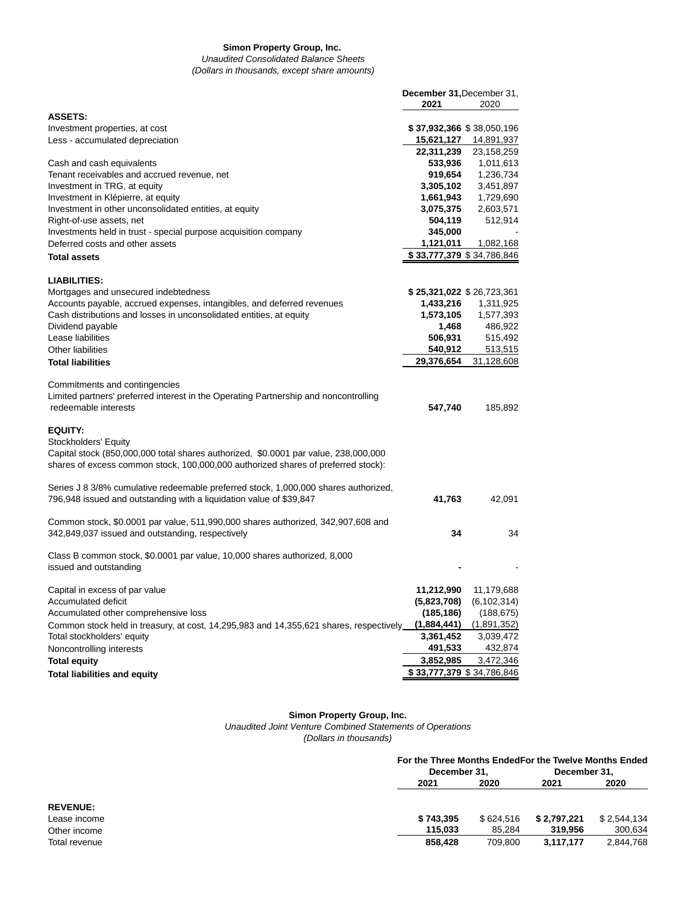# **Simon Property Group, Inc.**

Unaudited Consolidated Balance Sheets (Dollars in thousands, except share amounts)

|                                                                                                                                                                          | December 31, December 31, |                           |
|--------------------------------------------------------------------------------------------------------------------------------------------------------------------------|---------------------------|---------------------------|
|                                                                                                                                                                          | 2021                      | 2020                      |
| <b>ASSETS:</b>                                                                                                                                                           |                           |                           |
| Investment properties, at cost                                                                                                                                           |                           | \$37,932,366 \$38,050,196 |
| Less - accumulated depreciation                                                                                                                                          | 15,621,127                | 14,891,937                |
|                                                                                                                                                                          | 22,311,239                | 23,158,259                |
| Cash and cash equivalents                                                                                                                                                | 533,936                   | 1,011,613                 |
| Tenant receivables and accrued revenue, net                                                                                                                              | 919,654                   | 1,236,734                 |
| Investment in TRG, at equity                                                                                                                                             | 3,305,102                 | 3,451,897                 |
| Investment in Klépierre, at equity                                                                                                                                       | 1,661,943                 | 1,729,690                 |
| Investment in other unconsolidated entities, at equity                                                                                                                   | 3,075,375                 | 2,603,571                 |
| Right-of-use assets, net                                                                                                                                                 | 504,119                   | 512,914                   |
| Investments held in trust - special purpose acquisition company                                                                                                          | 345,000                   |                           |
| Deferred costs and other assets                                                                                                                                          | 1,121,011                 | 1,082,168                 |
| <b>Total assets</b>                                                                                                                                                      |                           | \$33,777,379 \$34,786,846 |
| <b>LIABILITIES:</b>                                                                                                                                                      |                           |                           |
| Mortgages and unsecured indebtedness                                                                                                                                     |                           | \$25,321,022 \$26,723,361 |
| Accounts payable, accrued expenses, intangibles, and deferred revenues                                                                                                   | 1,433,216                 | 1,311,925                 |
| Cash distributions and losses in unconsolidated entities, at equity                                                                                                      | 1,573,105                 | 1,577,393                 |
| Dividend payable                                                                                                                                                         | 1,468                     | 486,922                   |
| Lease liabilities                                                                                                                                                        | 506,931                   | 515,492                   |
| Other liabilities                                                                                                                                                        | 540,912                   | 513,515                   |
|                                                                                                                                                                          |                           |                           |
| <b>Total liabilities</b>                                                                                                                                                 | 29,376,654                | 31,128,608                |
| Commitments and contingencies<br>Limited partners' preferred interest in the Operating Partnership and noncontrolling<br>redeemable interests                            | 547,740                   | 185,892                   |
| <b>EQUITY:</b>                                                                                                                                                           |                           |                           |
| Stockholders' Equity                                                                                                                                                     |                           |                           |
| Capital stock (850,000,000 total shares authorized, \$0.0001 par value, 238,000,000<br>shares of excess common stock, 100,000,000 authorized shares of preferred stock): |                           |                           |
| Series J 8 3/8% cumulative redeemable preferred stock, 1,000,000 shares authorized,<br>796,948 issued and outstanding with a liquidation value of \$39,847               | 41,763                    | 42,091                    |
| Common stock, \$0.0001 par value, 511,990,000 shares authorized, 342,907,608 and<br>342,849,037 issued and outstanding, respectively                                     | 34                        | 34                        |
| Class B common stock, \$0.0001 par value, 10,000 shares authorized, 8,000<br>issued and outstanding                                                                      |                           |                           |
| Capital in excess of par value                                                                                                                                           | 11,212,990                | 11,179,688                |
| Accumulated deficit                                                                                                                                                      | (5,823,708)               | (6, 102, 314)             |
| Accumulated other comprehensive loss                                                                                                                                     | (185, 186)                | (188, 675)                |
| Common stock held in treasury, at cost, 14,295,983 and 14,355,621 shares, respectively_                                                                                  | (1,884,441)               | (1,891,352)               |
| Total stockholders' equity                                                                                                                                               | 3,361,452                 | 3,039,472                 |
| Noncontrolling interests                                                                                                                                                 | 491,533                   | 432,874                   |
| <b>Total equity</b>                                                                                                                                                      | 3,852,985                 | 3,472,346                 |
| <b>Total liabilities and equity</b>                                                                                                                                      |                           | \$33,777,379 \$34,786,846 |
|                                                                                                                                                                          |                           |                           |

#### **Simon Property Group, Inc.**

Unaudited Joint Venture Combined Statements of Operations

(Dollars in thousands)

|                 |           | For the Three Months EndedFor the Twelve Months Ended |             |              |  |
|-----------------|-----------|-------------------------------------------------------|-------------|--------------|--|
|                 |           | December 31.                                          |             | December 31. |  |
|                 | 2021      | 2020                                                  | 2021        | 2020         |  |
| <b>REVENUE:</b> |           |                                                       |             |              |  |
| Lease income    | \$743,395 | \$624.516                                             | \$2.797.221 | \$2.544.134  |  |
| Other income    | 115.033   | 85.284                                                | 319.956     | 300,634      |  |
| Total revenue   | 858,428   | 709.800                                               | 3.117.177   | 2,844,768    |  |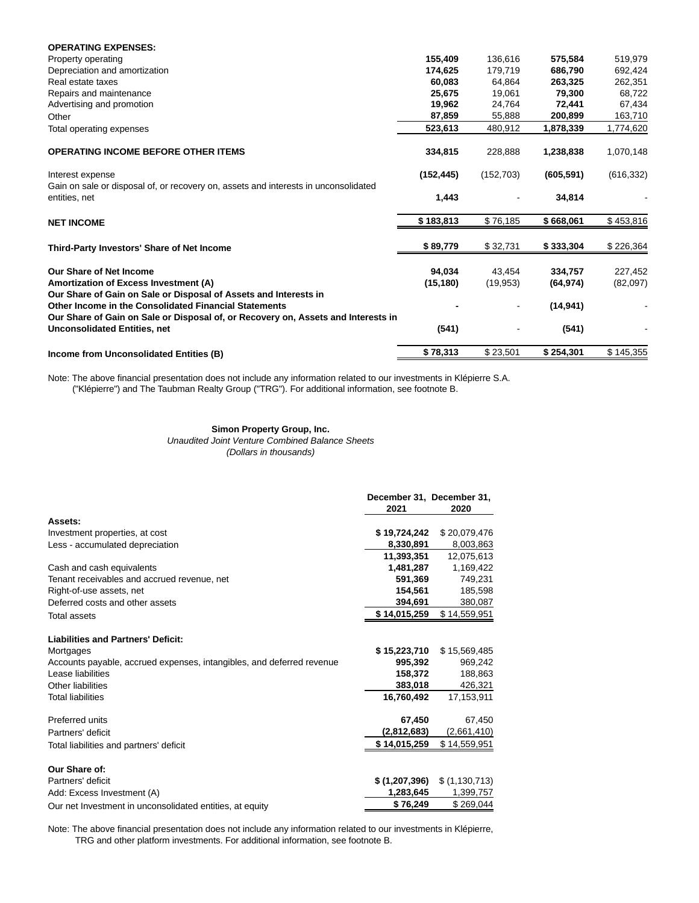| <b>OPERATING EXPENSES:</b>                                                          |            |                     |                      |            |
|-------------------------------------------------------------------------------------|------------|---------------------|----------------------|------------|
| Property operating                                                                  | 155,409    | 136,616             | 575,584              | 519,979    |
| Depreciation and amortization                                                       | 174,625    | 179,719             | 686,790              | 692,424    |
| Real estate taxes                                                                   | 60,083     | 64,864              | 263,325              | 262,351    |
| Repairs and maintenance                                                             | 25,675     | 19,061              | 79,300               | 68,722     |
| Advertising and promotion                                                           | 19,962     | 24,764              | 72,441               | 67,434     |
| Other                                                                               | 87,859     | 55,888              | 200,899              | 163,710    |
| Total operating expenses                                                            | 523,613    | 480,912             | 1,878,339            | 1,774,620  |
|                                                                                     |            |                     |                      |            |
| <b>OPERATING INCOME BEFORE OTHER ITEMS</b>                                          | 334,815    | 228,888             | 1,238,838            | 1,070,148  |
| Interest expense                                                                    | (152, 445) | (152, 703)          | (605, 591)           | (616, 332) |
| Gain on sale or disposal of, or recovery on, assets and interests in unconsolidated |            |                     |                      |            |
| entities, net                                                                       | 1,443      |                     | 34,814               |            |
| <b>NET INCOME</b>                                                                   | \$183,813  | \$76,185            | \$668,061            | \$453,816  |
| Third-Party Investors' Share of Net Income                                          | \$89,779   | \$32,731            | \$333,304            | \$226,364  |
| <b>Our Share of Net Income</b>                                                      |            |                     |                      |            |
| Amortization of Excess Investment (A)                                               | 94,034     | 43,454<br>(19, 953) | 334,757<br>(64, 974) | 227,452    |
| Our Share of Gain on Sale or Disposal of Assets and Interests in                    | (15, 180)  |                     |                      | (82,097)   |
| Other Income in the Consolidated Financial Statements                               |            | -                   | (14, 941)            |            |
| Our Share of Gain on Sale or Disposal of, or Recovery on, Assets and Interests in   |            |                     |                      |            |
| <b>Unconsolidated Entities, net</b>                                                 | (541)      |                     | (541)                |            |
| Income from Unconsolidated Entities (B)                                             | \$78,313   | \$23,501            | \$254,301            | \$145,355  |

Note: The above financial presentation does not include any information related to our investments in Klépierre S.A. ("Klépierre") and The Taubman Realty Group ("TRG"). For additional information, see footnote B.

# **Simon Property Group, Inc.**

Unaudited Joint Venture Combined Balance Sheets (Dollars in thousands)

|                                                                       | 2021          | December 31, December 31,<br>2020 |
|-----------------------------------------------------------------------|---------------|-----------------------------------|
| Assets:                                                               |               |                                   |
| Investment properties, at cost                                        | \$19,724,242  | \$20,079,476                      |
| Less - accumulated depreciation                                       | 8,330,891     | 8,003,863                         |
|                                                                       | 11,393,351    | 12,075,613                        |
| Cash and cash equivalents                                             | 1,481,287     | 1,169,422                         |
| Tenant receivables and accrued revenue, net                           | 591,369       | 749,231                           |
| Right-of-use assets, net                                              | 154.561       | 185.598                           |
| Deferred costs and other assets                                       | 394,691       | 380,087                           |
| <b>Total assets</b>                                                   | \$14,015,259  | \$14,559,951                      |
| <b>Liabilities and Partners' Deficit:</b>                             |               |                                   |
| Mortgages                                                             | \$15,223,710  | \$15,569,485                      |
| Accounts payable, accrued expenses, intangibles, and deferred revenue | 995,392       | 969,242                           |
| Lease liabilities                                                     | 158,372       | 188,863                           |
| Other liabilities                                                     | 383,018       | 426,321                           |
| <b>Total liabilities</b>                                              | 16.760.492    | 17.153.911                        |
| Preferred units                                                       | 67,450        | 67,450                            |
| Partners' deficit                                                     | (2,812,683)   | (2,661,410)                       |
| Total liabilities and partners' deficit                               | \$14,015,259  | \$14,559,951                      |
| Our Share of:                                                         |               |                                   |
| Partners' deficit                                                     | \$(1,207,396) | \$(1,130,713)                     |
| Add: Excess Investment (A)                                            | 1,283,645     | 1,399,757                         |
| Our net Investment in unconsolidated entities, at equity              | \$76,249      | \$269,044                         |

Note: The above financial presentation does not include any information related to our investments in Klépierre, TRG and other platform investments. For additional information, see footnote B.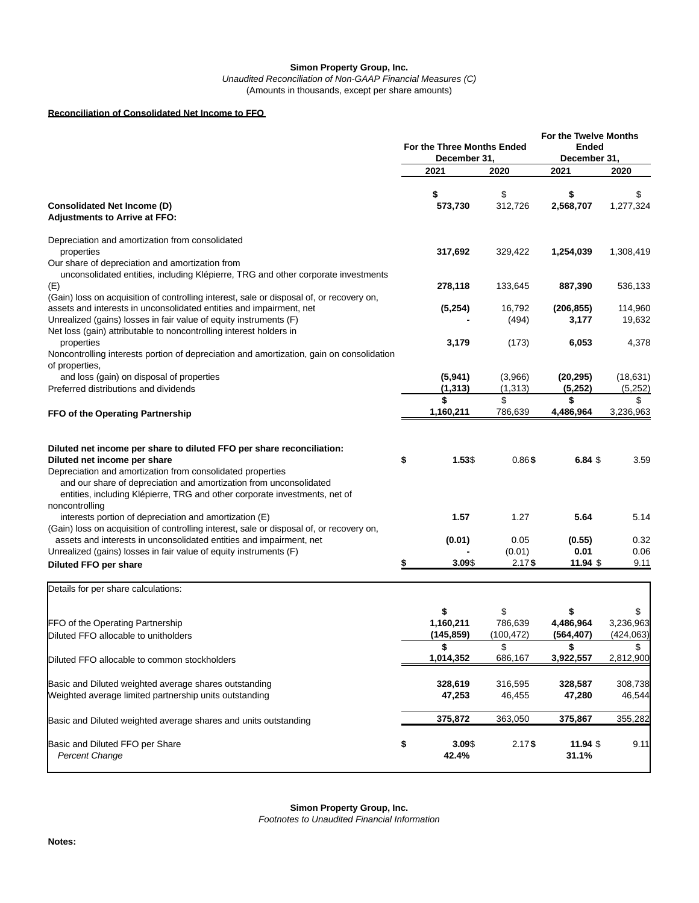### **Simon Property Group, Inc.** Unaudited Reconciliation of Non-GAAP Financial Measures (C) (Amounts in thousands, except per share amounts)

# **Reconciliation of Consolidated Net Income to FFO**

|                                                                                                                                                                                                                                                                                                                         | For the Three Months Ended<br>December 31. |                               | <b>For the Twelve Months</b><br>Ended<br>December 31, |                         |                               |
|-------------------------------------------------------------------------------------------------------------------------------------------------------------------------------------------------------------------------------------------------------------------------------------------------------------------------|--------------------------------------------|-------------------------------|-------------------------------------------------------|-------------------------|-------------------------------|
|                                                                                                                                                                                                                                                                                                                         |                                            | 2021                          | 2020                                                  | 2021                    | 2020                          |
| <b>Consolidated Net Income (D)</b><br><b>Adjustments to Arrive at FFO:</b>                                                                                                                                                                                                                                              |                                            | \$<br>573,730                 | \$<br>312,726                                         | \$<br>2,568,707         | \$<br>1,277,324               |
| Depreciation and amortization from consolidated<br>properties<br>Our share of depreciation and amortization from<br>unconsolidated entities, including Klépierre, TRG and other corporate investments                                                                                                                   |                                            | 317,692                       | 329,422                                               | 1,254,039               | 1,308,419                     |
| (E)                                                                                                                                                                                                                                                                                                                     |                                            | 278,118                       | 133,645                                               | 887,390                 | 536,133                       |
| (Gain) loss on acquisition of controlling interest, sale or disposal of, or recovery on,<br>assets and interests in unconsolidated entities and impairment, net<br>Unrealized (gains) losses in fair value of equity instruments (F)<br>Net loss (gain) attributable to noncontrolling interest holders in              |                                            | (5,254)                       | 16,792<br>(494)                                       | (206, 855)<br>3,177     | 114,960<br>19,632             |
| properties<br>Noncontrolling interests portion of depreciation and amortization, gain on consolidation<br>of properties,                                                                                                                                                                                                |                                            | 3,179                         | (173)                                                 | 6,053                   | 4,378                         |
| and loss (gain) on disposal of properties<br>Preferred distributions and dividends                                                                                                                                                                                                                                      |                                            | (5,941)<br>(1, 313)           | (3,966)<br>(1, 313)                                   | (20, 295)<br>(5,252)    | (18, 631)<br>(5,252)          |
| FFO of the Operating Partnership                                                                                                                                                                                                                                                                                        |                                            | \$<br>1,160,211               | \$<br>786,639                                         | \$<br>4,486,964         | \$<br>3,236,963               |
| Diluted net income per share to diluted FFO per share reconciliation:<br>Diluted net income per share<br>Depreciation and amortization from consolidated properties<br>and our share of depreciation and amortization from unconsolidated<br>entities, including Klépierre, TRG and other corporate investments, net of | \$                                         | 1.53\$                        | 0.86\$                                                | $6.84$ \$               | 3.59                          |
| noncontrolling<br>interests portion of depreciation and amortization (E)                                                                                                                                                                                                                                                |                                            | 1.57                          | 1.27                                                  | 5.64                    | 5.14                          |
| (Gain) loss on acquisition of controlling interest, sale or disposal of, or recovery on,<br>assets and interests in unconsolidated entities and impairment, net<br>Unrealized (gains) losses in fair value of equity instruments (F)                                                                                    |                                            | (0.01)                        | 0.05<br>(0.01)                                        | (0.55)<br>0.01          | 0.32<br>0.06                  |
| Diluted FFO per share                                                                                                                                                                                                                                                                                                   | \$                                         | 3.09\$                        | $2.17$ \$                                             | 11.94 \$                | 9.11                          |
| Details for per share calculations:                                                                                                                                                                                                                                                                                     |                                            |                               |                                                       |                         |                               |
| FFO of the Operating Partnership<br>Diluted FFO allocable to unitholders                                                                                                                                                                                                                                                |                                            | \$<br>1,160,211<br>(145, 859) | \$<br>786,639<br>(100,472)                            | 4,486,964<br>(564, 407) | \$<br>3,236,963<br>(424, 063) |
| Diluted FFO allocable to common stockholders                                                                                                                                                                                                                                                                            |                                            | \$<br>1,014,352               | \$<br>686,167                                         | \$<br>3,922,557         | \$<br>2,812,900               |
| Basic and Diluted weighted average shares outstanding<br>Weighted average limited partnership units outstanding                                                                                                                                                                                                         |                                            | 328,619<br>47,253             | 316,595<br>46,455                                     | 328,587<br>47,280       | 308,738<br>46,544             |
| Basic and Diluted weighted average shares and units outstanding                                                                                                                                                                                                                                                         |                                            | 375,872                       | 363,050                                               | 375,867                 | 355,282                       |
| Basic and Diluted FFO per Share<br><b>Percent Change</b>                                                                                                                                                                                                                                                                | \$                                         | 3.09\$<br>42.4%               | $2.17$ \$                                             | 11.94 \$<br>31.1%       | 9.11                          |

Footnotes to Unaudited Financial Information